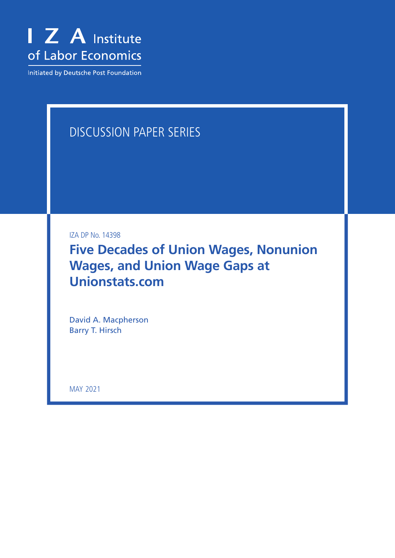

Initiated by Deutsche Post Foundation

# DISCUSSION PAPER SERIES

IZA DP No. 14398

**Five Decades of Union Wages, Nonunion Wages, and Union Wage Gaps at Unionstats.com**

David A. Macpherson Barry T. Hirsch

MAY 2021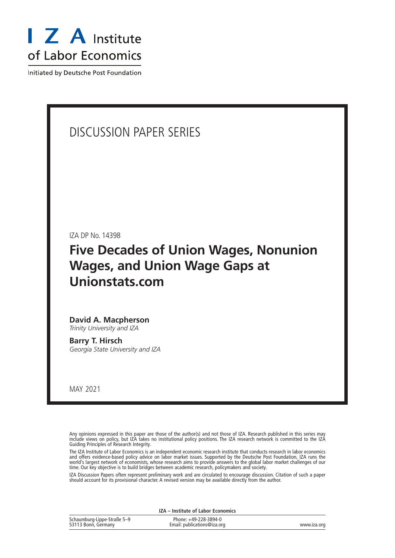

Initiated by Deutsche Post Foundation

## DISCUSSION PAPER SERIES

IZA DP No. 14398

## **Five Decades of Union Wages, Nonunion Wages, and Union Wage Gaps at Unionstats.com**

### **David A. Macpherson** *Trinity University and IZA*

**Barry T. Hirsch** *Georgia State University and IZA*

MAY 2021

Any opinions expressed in this paper are those of the author(s) and not those of IZA. Research published in this series may include views on policy, but IZA takes no institutional policy positions. The IZA research network is committed to the IZA Guiding Principles of Research Integrity.

The IZA Institute of Labor Economics is an independent economic research institute that conducts research in labor economics and offers evidence-based policy advice on labor market issues. Supported by the Deutsche Post Foundation, IZA runs the world's largest network of economists, whose research aims to provide answers to the global labor market challenges of our time. Our key objective is to build bridges between academic research, policymakers and society.

IZA Discussion Papers often represent preliminary work and are circulated to encourage discussion. Citation of such a paper should account for its provisional character. A revised version may be available directly from the author.

| IZA - Institute of Labor Economics                 |                                                      |             |  |  |
|----------------------------------------------------|------------------------------------------------------|-------------|--|--|
| Schaumburg-Lippe-Straße 5–9<br>53113 Bonn, Germany | Phone: +49-228-3894-0<br>Email: publications@iza.org | www.iza.org |  |  |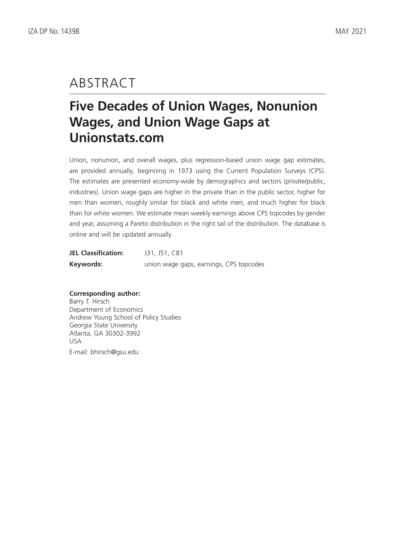## ABSTRACT

# **Five Decades of Union Wages, Nonunion Wages, and Union Wage Gaps at Unionstats.com**

Union, nonunion, and overall wages, plus regression-based union wage gap estimates, are provided annually, beginning in 1973 using the Current Population Surveys (CPS). The estimates are presented economy-wide by demographics and sectors (private/public, industries). Union wage gaps are higher in the private than in the public sector, higher for men than women, roughly similar for black and white men, and much higher for black than for white women. We estimate mean weekly earnings above CPS topcodes by gender and year, assuming a Pareto distribution in the right tail of the distribution. The database is online and will be updated annually.

| <b>JEL Classification:</b> | J31, J51, C81                           |
|----------------------------|-----------------------------------------|
| Keywords:                  | union wage gaps, earnings, CPS topcodes |

## **Corresponding author:**

Barry T. Hirsch Department of Economics Andrew Young School of Policy Studies Georgia State University Atlanta, GA 30302-3992 USA E-mail: bhirsch@gsu.edu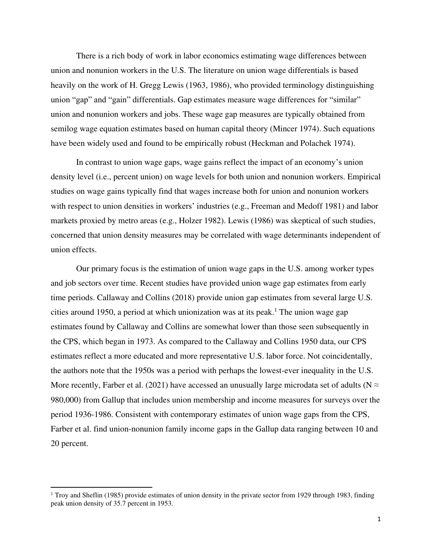There is a rich body of work in labor economics estimating wage differences between union and nonunion workers in the U.S. The literature on union wage differentials is based heavily on the work of H. Gregg Lewis (1963, 1986), who provided terminology distinguishing union "gap" and "gain" differentials. Gap estimates measure wage differences for "similar" union and nonunion workers and jobs. These wage gap measures are typically obtained from semilog wage equation estimates based on human capital theory (Mincer 1974). Such equations have been widely used and found to be empirically robust (Heckman and Polachek 1974).

In contrast to union wage gaps, wage gains reflect the impact of an economy's union density level (i.e., percent union) on wage levels for both union and nonunion workers. Empirical studies on wage gains typically find that wages increase both for union and nonunion workers with respect to union densities in workers' industries (e.g., Freeman and Medoff 1981) and labor markets proxied by metro areas (e.g., Holzer 1982). Lewis (1986) was skeptical of such studies, concerned that union density measures may be correlated with wage determinants independent of union effects.

Our primary focus is the estimation of union wage gaps in the U.S. among worker types and job sectors over time. Recent studies have provided union wage gap estimates from early time periods. Callaway and Collins (2018) provide union gap estimates from several large U.S. cities around 1950, a period at which unionization was at its peak.<sup>1</sup> The union wage gap estimates found by Callaway and Collins are somewhat lower than those seen subsequently in the CPS, which began in 1973. As compared to the Callaway and Collins 1950 data, our CPS estimates reflect a more educated and more representative U.S. labor force. Not coincidentally, the authors note that the 1950s was a period with perhaps the lowest-ever inequality in the U.S. More recently, Farber et al. (2021) have accessed an unusually large microdata set of adults ( $N \approx$ 980,000) from Gallup that includes union membership and income measures for surveys over the period 1936-1986. Consistent with contemporary estimates of union wage gaps from the CPS, Farber et al. find union-nonunion family income gaps in the Gallup data ranging between 10 and 20 percent.

<sup>&</sup>lt;sup>1</sup> Troy and Sheflin (1985) provide estimates of union density in the private sector from 1929 through 1983, finding peak union density of 35.7 percent in 1953.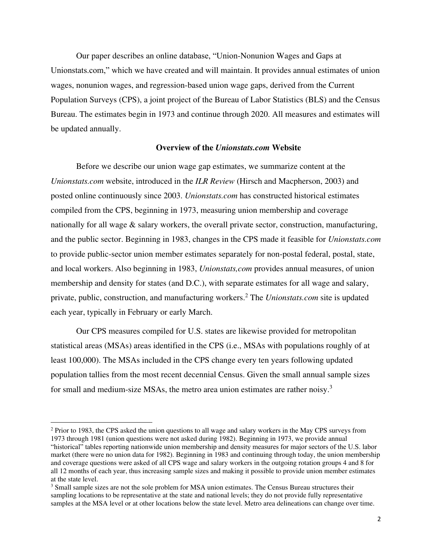Our paper describes an online database, "Union-Nonunion Wages and Gaps at Unionstats.com," which we have created and will maintain. It provides annual estimates of union wages, nonunion wages, and regression-based union wage gaps, derived from the Current Population Surveys (CPS), a joint project of the Bureau of Labor Statistics (BLS) and the Census Bureau. The estimates begin in 1973 and continue through 2020. All measures and estimates will be updated annually.

## **Overview of the** *Unionstats.com* **Website**

Before we describe our union wage gap estimates, we summarize content at the *Unionstats.com* website, introduced in the *ILR Review* (Hirsch and Macpherson, 2003) and posted online continuously since 2003. *Unionstats.com* has constructed historical estimates compiled from the CPS, beginning in 1973, measuring union membership and coverage nationally for all wage  $\&$  salary workers, the overall private sector, construction, manufacturing, and the public sector. Beginning in 1983, changes in the CPS made it feasible for *Unionstats.com*  to provide public-sector union member estimates separately for non-postal federal, postal, state, and local workers. Also beginning in 1983, *Unionstats,com* provides annual measures, of union membership and density for states (and D.C.), with separate estimates for all wage and salary, private, public, construction, and manufacturing workers.<sup>2</sup> The *Unionstats.com* site is updated each year, typically in February or early March.

Our CPS measures compiled for U.S. states are likewise provided for metropolitan statistical areas (MSAs) areas identified in the CPS (i.e., MSAs with populations roughly of at least 100,000). The MSAs included in the CPS change every ten years following updated population tallies from the most recent decennial Census. Given the small annual sample sizes for small and medium-size MSAs, the metro area union estimates are rather noisy.<sup>3</sup>

<sup>&</sup>lt;sup>2</sup> Prior to 1983, the CPS asked the union questions to all wage and salary workers in the May CPS surveys from 1973 through 1981 (union questions were not asked during 1982). Beginning in 1973, we provide annual "historical" tables reporting nationwide union membership and density measures for major sectors of the U.S. labor market (there were no union data for 1982). Beginning in 1983 and continuing through today, the union membership and coverage questions were asked of all CPS wage and salary workers in the outgoing rotation groups 4 and 8 for all 12 months of each year, thus increasing sample sizes and making it possible to provide union member estimates at the state level.

<sup>&</sup>lt;sup>3</sup> Small sample sizes are not the sole problem for MSA union estimates. The Census Bureau structures their sampling locations to be representative at the state and national levels; they do not provide fully representative samples at the MSA level or at other locations below the state level. Metro area delineations can change over time.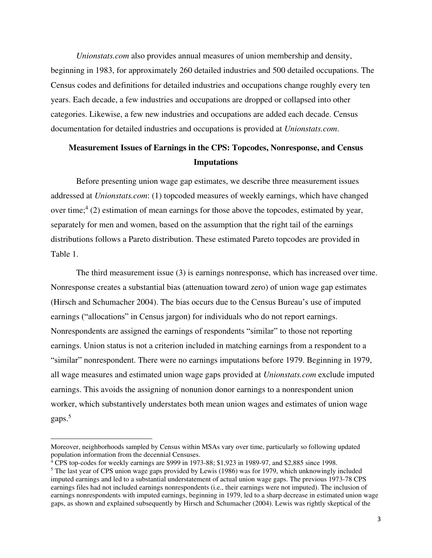*Unionstats.com* also provides annual measures of union membership and density, beginning in 1983, for approximately 260 detailed industries and 500 detailed occupations. The Census codes and definitions for detailed industries and occupations change roughly every ten years. Each decade, a few industries and occupations are dropped or collapsed into other categories. Likewise, a few new industries and occupations are added each decade. Census documentation for detailed industries and occupations is provided at *Unionstats.com*.

## **Measurement Issues of Earnings in the CPS: Topcodes, Nonresponse, and Census Imputations**

Before presenting union wage gap estimates, we describe three measurement issues addressed at *Unionstats.com*: (1) topcoded measures of weekly earnings, which have changed over time;<sup>4</sup> (2) estimation of mean earnings for those above the topcodes, estimated by year, separately for men and women, based on the assumption that the right tail of the earnings distributions follows a Pareto distribution. These estimated Pareto topcodes are provided in Table 1.

The third measurement issue (3) is earnings nonresponse, which has increased over time. Nonresponse creates a substantial bias (attenuation toward zero) of union wage gap estimates (Hirsch and Schumacher 2004). The bias occurs due to the Census Bureau's use of imputed earnings ("allocations" in Census jargon) for individuals who do not report earnings. Nonrespondents are assigned the earnings of respondents "similar" to those not reporting earnings. Union status is not a criterion included in matching earnings from a respondent to a "similar" nonrespondent. There were no earnings imputations before 1979. Beginning in 1979, all wage measures and estimated union wage gaps provided at *Unionstats.com* exclude imputed earnings. This avoids the assigning of nonunion donor earnings to a nonrespondent union worker, which substantively understates both mean union wages and estimates of union wage gaps.<sup>5</sup>

Moreover, neighborhoods sampled by Census within MSAs vary over time, particularly so following updated population information from the decennial Censuses.

<sup>&</sup>lt;sup>4</sup> CPS top-codes for weekly earnings are \$999 in 1973-88; \$1,923 in 1989-97, and \$2,885 since 1998.

<sup>&</sup>lt;sup>5</sup> The last year of CPS union wage gaps provided by Lewis (1986) was for 1979, which unknowingly included imputed earnings and led to a substantial understatement of actual union wage gaps. The previous 1973-78 CPS earnings files had not included earnings nonrespondents (i.e., their earnings were not imputed). The inclusion of earnings nonrespondents with imputed earnings, beginning in 1979, led to a sharp decrease in estimated union wage gaps, as shown and explained subsequently by Hirsch and Schumacher (2004). Lewis was rightly skeptical of the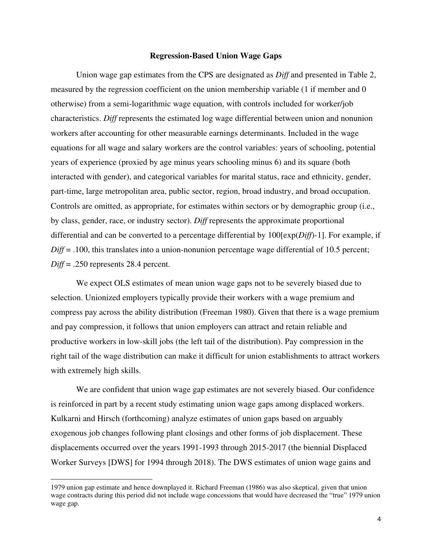#### **Regression-Based Union Wage Gaps**

Union wage gap estimates from the CPS are designated as *Diff* and presented in Table 2, measured by the regression coefficient on the union membership variable (1 if member and 0 otherwise) from a semi-logarithmic wage equation, with controls included for worker/job characteristics. *Diff* represents the estimated log wage differential between union and nonunion workers after accounting for other measurable earnings determinants. Included in the wage equations for all wage and salary workers are the control variables: years of schooling, potential years of experience (proxied by age minus years schooling minus 6) and its square (both interacted with gender), and categorical variables for marital status, race and ethnicity, gender, part-time, large metropolitan area, public sector, region, broad industry, and broad occupation. Controls are omitted, as appropriate, for estimates within sectors or by demographic group (i.e., by class, gender, race, or industry sector). *Diff* represents the approximate proportional differential and can be converted to a percentage differential by 100[exp(*Diff*)-1]. For example, if *Diff* = .100, this translates into a union-nonunion percentage wage differential of 10.5 percent; *Diff* = .250 represents 28.4 percent.

We expect OLS estimates of mean union wage gaps not to be severely biased due to selection. Unionized employers typically provide their workers with a wage premium and compress pay across the ability distribution (Freeman 1980). Given that there is a wage premium and pay compression, it follows that union employers can attract and retain reliable and productive workers in low-skill jobs (the left tail of the distribution). Pay compression in the right tail of the wage distribution can make it difficult for union establishments to attract workers with extremely high skills.

We are confident that union wage gap estimates are not severely biased. Our confidence is reinforced in part by a recent study estimating union wage gaps among displaced workers. Kulkarni and Hirsch (forthcoming) analyze estimates of union gaps based on arguably exogenous job changes following plant closings and other forms of job displacement. These displacements occurred over the years 1991-1993 through 2015-2017 (the biennial Displaced Worker Surveys [DWS] for 1994 through 2018). The DWS estimates of union wage gains and

<sup>1979</sup> union gap estimate and hence downplayed it. Richard Freeman (1986) was also skeptical, given that union wage contracts during this period did not include wage concessions that would have decreased the "true" 1979 union wage gap.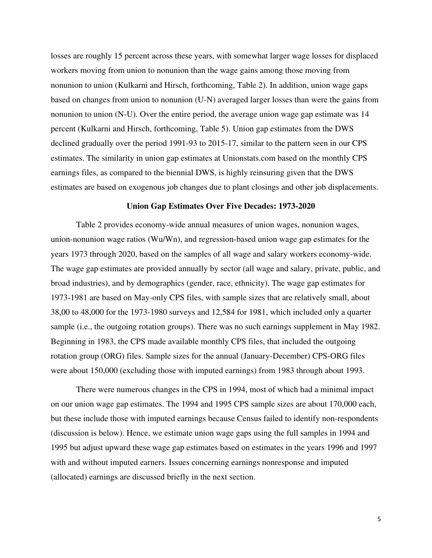losses are roughly 15 percent across these years, with somewhat larger wage losses for displaced workers moving from union to nonunion than the wage gains among those moving from nonunion to union (Kulkarni and Hirsch, forthcoming, Table 2). In addition, union wage gaps based on changes from union to nonunion (U-N) averaged larger losses than were the gains from nonunion to union (N-U). Over the entire period, the average union wage gap estimate was 14 percent (Kulkarni and Hirsch, forthcoming, Table 5). Union gap estimates from the DWS declined gradually over the period 1991-93 to 2015-17, similar to the pattern seen in our CPS estimates. The similarity in union gap estimates at Unionstats.com based on the monthly CPS earnings files, as compared to the biennial DWS, is highly reinsuring given that the DWS estimates are based on exogenous job changes due to plant closings and other job displacements.

## **Union Gap Estimates Over Five Decades: 1973-2020**

Table 2 provides economy-wide annual measures of union wages, nonunion wages, union-nonunion wage ratios (Wu/Wn), and regression-based union wage gap estimates for the years 1973 through 2020, based on the samples of all wage and salary workers economy-wide. The wage gap estimates are provided annually by sector (all wage and salary, private, public, and broad industries), and by demographics (gender, race, ethnicity). The wage gap estimates for 1973-1981 are based on May-only CPS files, with sample sizes that are relatively small, about 38,00 to 48,000 for the 1973-1980 surveys and 12,584 for 1981, which included only a quarter sample (i.e., the outgoing rotation groups). There was no such earnings supplement in May 1982. Beginning in 1983, the CPS made available monthly CPS files, that included the outgoing rotation group (ORG) files. Sample sizes for the annual (January-December) CPS-ORG files were about 150,000 (excluding those with imputed earnings) from 1983 through about 1993.

There were numerous changes in the CPS in 1994, most of which had a minimal impact on our union wage gap estimates. The 1994 and 1995 CPS sample sizes are about 170,000 each, but these include those with imputed earnings because Census failed to identify non-respondents (discussion is below). Hence, we estimate union wage gaps using the full samples in 1994 and 1995 but adjust upward these wage gap estimates based on estimates in the years 1996 and 1997 with and without imputed earners. Issues concerning earnings nonresponse and imputed (allocated) earnings are discussed briefly in the next section.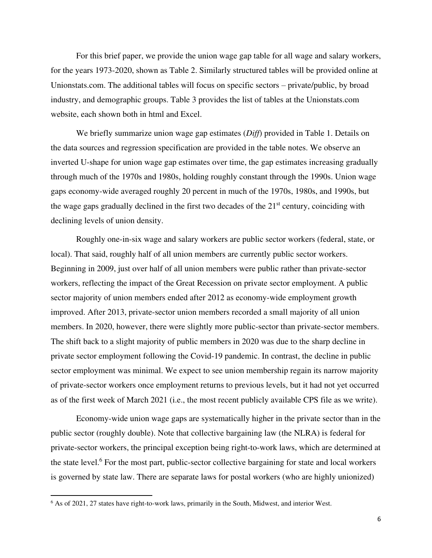For this brief paper, we provide the union wage gap table for all wage and salary workers, for the years 1973-2020, shown as Table 2. Similarly structured tables will be provided online at Unionstats.com. The additional tables will focus on specific sectors – private/public, by broad industry, and demographic groups. Table 3 provides the list of tables at the Unionstats.com website, each shown both in html and Excel.

We briefly summarize union wage gap estimates (*Diff*) provided in Table 1. Details on the data sources and regression specification are provided in the table notes. We observe an inverted U-shape for union wage gap estimates over time, the gap estimates increasing gradually through much of the 1970s and 1980s, holding roughly constant through the 1990s. Union wage gaps economy-wide averaged roughly 20 percent in much of the 1970s, 1980s, and 1990s, but the wage gaps gradually declined in the first two decades of the  $21<sup>st</sup>$  century, coinciding with declining levels of union density.

Roughly one-in-six wage and salary workers are public sector workers (federal, state, or local). That said, roughly half of all union members are currently public sector workers. Beginning in 2009, just over half of all union members were public rather than private-sector workers, reflecting the impact of the Great Recession on private sector employment. A public sector majority of union members ended after 2012 as economy-wide employment growth improved. After 2013, private-sector union members recorded a small majority of all union members. In 2020, however, there were slightly more public-sector than private-sector members. The shift back to a slight majority of public members in 2020 was due to the sharp decline in private sector employment following the Covid-19 pandemic. In contrast, the decline in public sector employment was minimal. We expect to see union membership regain its narrow majority of private-sector workers once employment returns to previous levels, but it had not yet occurred as of the first week of March 2021 (i.e., the most recent publicly available CPS file as we write).

Economy-wide union wage gaps are systematically higher in the private sector than in the public sector (roughly double). Note that collective bargaining law (the NLRA) is federal for private-sector workers, the principal exception being right-to-work laws, which are determined at the state level.<sup>6</sup> For the most part, public-sector collective bargaining for state and local workers is governed by state law. There are separate laws for postal workers (who are highly unionized)

<sup>&</sup>lt;sup>6</sup> As of 2021, 27 states have right-to-work laws, primarily in the South, Midwest, and interior West.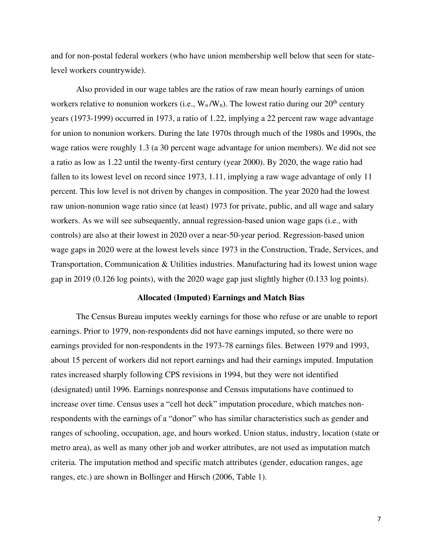and for non-postal federal workers (who have union membership well below that seen for statelevel workers countrywide).

Also provided in our wage tables are the ratios of raw mean hourly earnings of union workers relative to nonunion workers (i.e.,  $W_u/W_n$ ). The lowest ratio during our  $20<sup>th</sup>$  century years (1973-1999) occurred in 1973, a ratio of 1.22, implying a 22 percent raw wage advantage for union to nonunion workers. During the late 1970s through much of the 1980s and 1990s, the wage ratios were roughly 1.3 (a 30 percent wage advantage for union members). We did not see a ratio as low as 1.22 until the twenty-first century (year 2000). By 2020, the wage ratio had fallen to its lowest level on record since 1973, 1.11, implying a raw wage advantage of only 11 percent. This low level is not driven by changes in composition. The year 2020 had the lowest raw union-nonunion wage ratio since (at least) 1973 for private, public, and all wage and salary workers. As we will see subsequently, annual regression-based union wage gaps (i.e., with controls) are also at their lowest in 2020 over a near-50-year period. Regression-based union wage gaps in 2020 were at the lowest levels since 1973 in the Construction, Trade, Services, and Transportation, Communication & Utilities industries. Manufacturing had its lowest union wage gap in 2019 (0.126 log points), with the 2020 wage gap just slightly higher (0.133 log points).

## **Allocated (Imputed) Earnings and Match Bias**

The Census Bureau imputes weekly earnings for those who refuse or are unable to report earnings. Prior to 1979, non-respondents did not have earnings imputed, so there were no earnings provided for non-respondents in the 1973-78 earnings files. Between 1979 and 1993, about 15 percent of workers did not report earnings and had their earnings imputed. Imputation rates increased sharply following CPS revisions in 1994, but they were not identified (designated) until 1996. Earnings nonresponse and Census imputations have continued to increase over time. Census uses a "cell hot deck" imputation procedure, which matches nonrespondents with the earnings of a "donor" who has similar characteristics such as gender and ranges of schooling, occupation, age, and hours worked. Union status, industry, location (state or metro area), as well as many other job and worker attributes, are not used as imputation match criteria. The imputation method and specific match attributes (gender, education ranges, age ranges, etc.) are shown in Bollinger and Hirsch (2006, Table 1).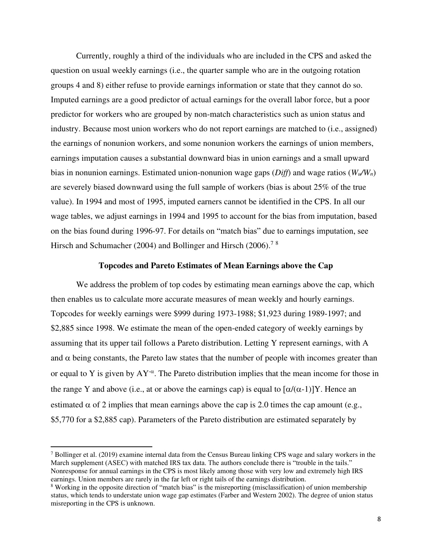Currently, roughly a third of the individuals who are included in the CPS and asked the question on usual weekly earnings (i.e., the quarter sample who are in the outgoing rotation groups 4 and 8) either refuse to provide earnings information or state that they cannot do so. Imputed earnings are a good predictor of actual earnings for the overall labor force, but a poor predictor for workers who are grouped by non-match characteristics such as union status and industry. Because most union workers who do not report earnings are matched to (i.e., assigned) the earnings of nonunion workers, and some nonunion workers the earnings of union members, earnings imputation causes a substantial downward bias in union earnings and a small upward bias in nonunion earnings. Estimated union-nonunion wage gaps (*Diff*) and wage ratios (*Wu/Wn*) are severely biased downward using the full sample of workers (bias is about 25% of the true value). In 1994 and most of 1995, imputed earners cannot be identified in the CPS. In all our wage tables, we adjust earnings in 1994 and 1995 to account for the bias from imputation, based on the bias found during 1996-97. For details on "match bias" due to earnings imputation, see Hirsch and Schumacher (2004) and Bollinger and Hirsch (2006).<sup>78</sup>

## **Topcodes and Pareto Estimates of Mean Earnings above the Cap**

We address the problem of top codes by estimating mean earnings above the cap, which then enables us to calculate more accurate measures of mean weekly and hourly earnings. Topcodes for weekly earnings were \$999 during 1973-1988; \$1,923 during 1989-1997; and \$2,885 since 1998. We estimate the mean of the open-ended category of weekly earnings by assuming that its upper tail follows a Pareto distribution. Letting Y represent earnings, with A and  $\alpha$  being constants, the Pareto law states that the number of people with incomes greater than or equal to Y is given by  $AY^{\alpha}$ . The Pareto distribution implies that the mean income for those in the range Y and above (i.e., at or above the earnings cap) is equal to  $\left[\alpha/(\alpha-1)\right]$ Y. Hence an estimated  $\alpha$  of 2 implies that mean earnings above the cap is 2.0 times the cap amount (e.g., \$5,770 for a \$2,885 cap). Parameters of the Pareto distribution are estimated separately by

<sup>&</sup>lt;sup>7</sup> Bollinger et al. (2019) examine internal data from the Census Bureau linking CPS wage and salary workers in the March supplement (ASEC) with matched IRS tax data. The authors conclude there is "trouble in the tails." Nonresponse for annual earnings in the CPS is most likely among those with very low and extremely high IRS earnings. Union members are rarely in the far left or right tails of the earnings distribution.

<sup>&</sup>lt;sup>8</sup> Working in the opposite direction of "match bias" is the misreporting (misclassification) of union membership status, which tends to understate union wage gap estimates (Farber and Western 2002). The degree of union status misreporting in the CPS is unknown.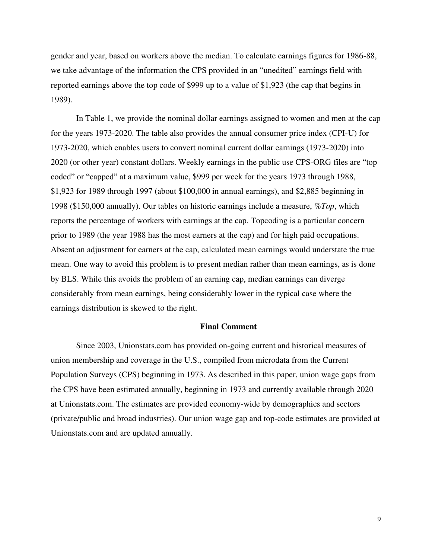gender and year, based on workers above the median. To calculate earnings figures for 1986-88, we take advantage of the information the CPS provided in an "unedited" earnings field with reported earnings above the top code of \$999 up to a value of \$1,923 (the cap that begins in 1989).

In Table 1, we provide the nominal dollar earnings assigned to women and men at the cap for the years 1973-2020. The table also provides the annual consumer price index (CPI-U) for 1973-2020, which enables users to convert nominal current dollar earnings (1973-2020) into 2020 (or other year) constant dollars. Weekly earnings in the public use CPS-ORG files are "top coded" or "capped" at a maximum value, \$999 per week for the years 1973 through 1988, \$1,923 for 1989 through 1997 (about \$100,000 in annual earnings), and \$2,885 beginning in 1998 (\$150,000 annually). Our tables on historic earnings include a measure, *%Top*, which reports the percentage of workers with earnings at the cap. Topcoding is a particular concern prior to 1989 (the year 1988 has the most earners at the cap) and for high paid occupations. Absent an adjustment for earners at the cap, calculated mean earnings would understate the true mean. One way to avoid this problem is to present median rather than mean earnings, as is done by BLS. While this avoids the problem of an earning cap, median earnings can diverge considerably from mean earnings, being considerably lower in the typical case where the earnings distribution is skewed to the right.

## **Final Comment**

Since 2003, Unionstats,com has provided on-going current and historical measures of union membership and coverage in the U.S., compiled from microdata from the Current Population Surveys (CPS) beginning in 1973. As described in this paper, union wage gaps from the CPS have been estimated annually, beginning in 1973 and currently available through 2020 at Unionstats.com. The estimates are provided economy-wide by demographics and sectors (private/public and broad industries). Our union wage gap and top-code estimates are provided at Unionstats.com and are updated annually.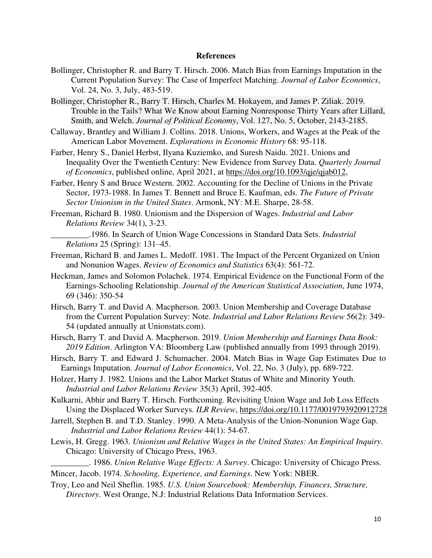## **References**

- Bollinger, Christopher R. and Barry T. Hirsch. 2006. Match Bias from Earnings Imputation in the Current Population Survey: The Case of Imperfect Matching. *Journal of Labor Economics*, Vol. 24, No. 3, July, 483-519.
- Bollinger, Christopher R., Barry T. Hirsch, Charles M. Hokayem, and James P. Ziliak. 2019. Trouble in the Tails? What We Know about Earning Nonresponse Thirty Years after Lillard, Smith, and Welch. *Journal of Political Economy*, Vol. 127, No. 5, October, 2143-2185.
- Callaway, Brantley and William J. Collins. 2018. Unions, Workers, and Wages at the Peak of the American Labor Movement. *Explorations in Economic History* 68: 95-118.
- Farber, Henry S., Daniel Herbst, Ilyana Kuziemko, and Suresh Naidu. 2021. Unions and Inequality Over the Twentieth Century: New Evidence from Survey Data. *Quarterly Journal of Economics*, published online, April 2021, at [https://doi.org/10.1093/qje/qjab012,](https://doi.org/10.1093/qje/qjab012)
- Farber, Henry S and Bruce Western. 2002. Accounting for the Decline of Unions in the Private Sector, 1973-1988. In James T. Bennett and Bruce E. Kaufman, eds. *The Future of Private Sector Unionism in the United States*. Armonk, NY: M.E. Sharpe, 28-58.
- Freeman, Richard B. 1980. Unionism and the Dispersion of Wages. *Industrial and Labor Relations Review* 34(1), 3-23.
- \_\_\_\_\_\_\_\_\_.1986. In Search of Union Wage Concessions in Standard Data Sets. *Industrial Relations* 25 (Spring): 131–45.
- Freeman, Richard B. and James L. Medoff. 1981. The Impact of the Percent Organized on Union and Nonunion Wages. *Review of Economics and Statistics* 63(4): 561-72.
- Heckman, James and Solomon Polachek. 1974. Empirical Evidence on the Functional Form of the Earnings-Schooling Relationship. *Journal of the American Statistical Association*, June 1974, 69 (346): 350-54
- Hirsch, Barry T. and David A. Macpherson. 2003. Union Membership and Coverage Database from the Current Population Survey: Note. *Industrial and Labor Relations Review* 56(2): 349- 54 (updated annually at Unionstats.com).
- Hirsch, Barry T. and David A. Macpherson. 2019. *Union Membership and Earnings Data Book: 2019 Edition*. Arlington VA: Bloomberg Law (published annually from 1993 through 2019).
- Hirsch, Barry T. and Edward J. Schumacher. 2004. Match Bias in Wage Gap Estimates Due to Earnings Imputation. *Journal of Labor Economics*, Vol. 22, No. 3 (July), pp. 689-722.
- Holzer, Harry J. 1982. Unions and the Labor Market Status of White and Minority Youth. *Industrial and Labor Relations Review* 35(3) April, 392-405.
- Kulkarni, Abhir and Barry T. Hirsch. Forthcoming. Revisiting Union Wage and Job Loss Effects Using the Displaced Worker Surveys. *ILR Review*,<https://doi.org/10.1177/0019793920912728>
- Jarrell, Stephen B. and T.D. Stanley. 1990. A Meta-Analysis of the Union-Nonunion Wage Gap. *Industrial and Labor Relations Review* 44(1): 54-67.
- Lewis, H. Gregg. 1963. *Unionism and Relative Wages in the United States: An Empirical Inquiry*. Chicago: University of Chicago Press, 1963.
- \_\_\_\_\_\_\_\_\_. 1986. *Union Relative Wage Effects: A Survey*. Chicago: University of Chicago Press. Mincer, Jacob. 1974. *Schooling, Experience, and Earnings*. New York: NBER.
- Troy, Leo and Neil Sheflin. 1985. *U.S. Union Sourcebook: Membership, Finances, Structure, Directory*. West Orange, N.J: Industrial Relations Data Information Services.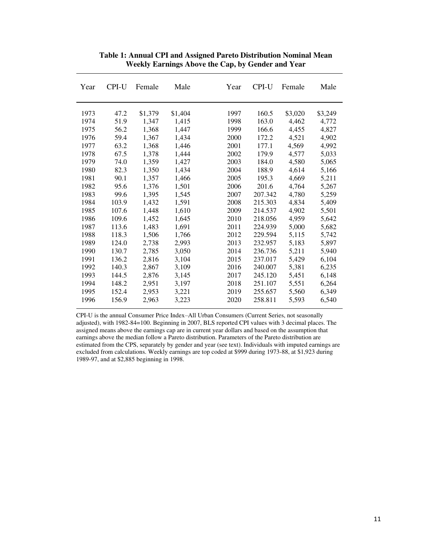| Year | CPI-U | Female  | Male    | Year | CPI-U   | Female  | Male    |
|------|-------|---------|---------|------|---------|---------|---------|
| 1973 | 47.2  | \$1,379 | \$1,404 | 1997 | 160.5   | \$3,020 | \$3,249 |
| 1974 | 51.9  | 1,347   | 1,415   | 1998 | 163.0   | 4,462   | 4,772   |
| 1975 | 56.2  | 1,368   | 1,447   | 1999 | 166.6   | 4,455   | 4,827   |
| 1976 | 59.4  | 1,367   | 1,434   | 2000 | 172.2   | 4,521   | 4,902   |
| 1977 | 63.2  | 1,368   | 1.446   | 2001 | 177.1   | 4.569   | 4,992   |
| 1978 | 67.5  | 1,378   | 1,444   | 2002 | 179.9   | 4,577   | 5,033   |
| 1979 | 74.0  | 1,359   | 1,427   | 2003 | 184.0   | 4,580   | 5,065   |
| 1980 | 82.3  | 1,350   | 1,434   | 2004 | 188.9   | 4,614   | 5,166   |
| 1981 | 90.1  | 1,357   | 1,466   | 2005 | 195.3   | 4,669   | 5,211   |
| 1982 | 95.6  | 1,376   | 1,501   | 2006 | 201.6   | 4,764   | 5,267   |
| 1983 | 99.6  | 1,395   | 1,545   | 2007 | 207.342 | 4,780   | 5,259   |
| 1984 | 103.9 | 1,432   | 1,591   | 2008 | 215.303 | 4,834   | 5,409   |
| 1985 | 107.6 | 1,448   | 1,610   | 2009 | 214.537 | 4,902   | 5,501   |
| 1986 | 109.6 | 1,452   | 1,645   | 2010 | 218.056 | 4,959   | 5,642   |
| 1987 | 113.6 | 1,483   | 1,691   | 2011 | 224.939 | 5,000   | 5,682   |
| 1988 | 118.3 | 1,506   | 1,766   | 2012 | 229.594 | 5,115   | 5,742   |
| 1989 | 124.0 | 2,738   | 2,993   | 2013 | 232.957 | 5,183   | 5,897   |
| 1990 | 130.7 | 2,785   | 3,050   | 2014 | 236.736 | 5,211   | 5,940   |
| 1991 | 136.2 | 2,816   | 3,104   | 2015 | 237.017 | 5,429   | 6,104   |
| 1992 | 140.3 | 2,867   | 3,109   | 2016 | 240.007 | 5,381   | 6,235   |
| 1993 | 144.5 | 2,876   | 3,145   | 2017 | 245.120 | 5,451   | 6,148   |
| 1994 | 148.2 | 2,951   | 3,197   | 2018 | 251.107 | 5,551   | 6,264   |
| 1995 | 152.4 | 2,953   | 3,221   | 2019 | 255.657 | 5,560   | 6,349   |
| 1996 | 156.9 | 2,963   | 3,223   | 2020 | 258.811 | 5,593   | 6,540   |

**Table 1: Annual CPI and Assigned Pareto Distribution Nominal Mean Weekly Earnings Above the Cap, by Gender and Year** 

CPI-U is the annual Consumer Price Index–All Urban Consumers (Current Series, not seasonally adjusted), with 1982-84=100. Beginning in 2007, BLS reported CPI values with 3 decimal places. The assigned means above the earnings cap are in current year dollars and based on the assumption that earnings above the median follow a Pareto distribution. Parameters of the Pareto distribution are estimated from the CPS, separately by gender and year (see text). Individuals with imputed earnings are excluded from calculations. Weekly earnings are top coded at \$999 during 1973-88, at \$1,923 during 1989-97, and at \$2,885 beginning in 1998.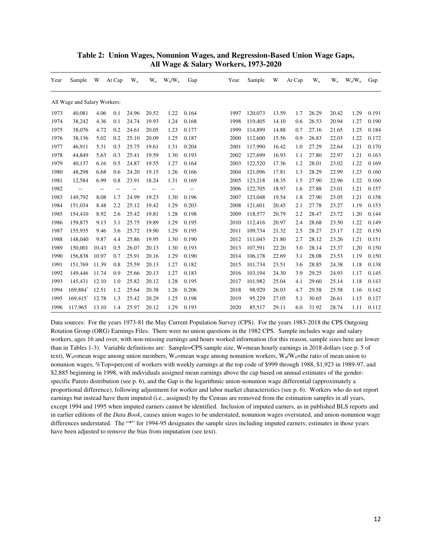| Year | Sample                       | W                        | At Cap         | $W_{u}$ | $W_n$ | $W_u/W_n$                | Gap            | Year | Sample  | W     | At Cap | $W_{u}$ | $W_n$ | $W_u/W_n$ | Gap   |
|------|------------------------------|--------------------------|----------------|---------|-------|--------------------------|----------------|------|---------|-------|--------|---------|-------|-----------|-------|
|      | All Wage and Salary Workers: |                          |                |         |       |                          |                |      |         |       |        |         |       |           |       |
| 1973 | 40,081                       | 4.06                     | 0.1            | 24.96   | 20.52 | 1.22                     | 0.164          | 1997 | 120,073 | 13.59 | 1.7    | 26.29   | 20.42 | 1.29      | 0.191 |
| 1974 | 38,242                       | 4.36                     | 0.1            | 24.74   | 19.93 | 1.24                     | 0.168          | 1998 | 119,405 | 14.10 | 0.6    | 26.53   | 20.94 | 1.27      | 0.190 |
| 1975 | 38,076                       | 4.72                     | 0.2            | 24.61   | 20.05 | 1.23                     | 0.177          | 1999 | 114,899 | 14.88 | 0.7    | 27.16   | 21.65 | 1.25      | 0.184 |
| 1976 | 38,136                       | 5.02                     | 0.2            | 25.10   | 20.09 | 1.25                     | 0.187          | 2000 | 112,600 | 15.56 | 0.9    | 26.83   | 22.03 | 1.22      | 0.172 |
| 1977 | 46,911                       | 5.31                     | 0.3            | 25.75   | 19.61 | 1.31                     | 0.204          | 2001 | 117,990 | 16.42 | 1.0    | 27.29   | 22.64 | 1.21      | 0.170 |
| 1978 | 44,849                       | 5.63                     | 0.3            | 25.41   | 19.59 | 1.30                     | 0.193          | 2002 | 127,699 | 16.93 | 1.1    | 27.80   | 22.97 | 1.21      | 0.163 |
| 1979 | 40,137                       | 6.16                     | 0.5            | 24.87   | 19.55 | 1.27                     | 0.164          | 2003 | 122,520 | 17.36 | 1.2    | 28.01   | 23.02 | 1.22      | 0.169 |
| 1980 | 48,298                       | 6.68                     | 0.6            | 24.20   | 19.15 | 1.26                     | 0.166          | 2004 | 121,096 | 17.81 | 1.3    | 28.29   | 22.99 | 1.23      | 0.160 |
| 1981 | 12,584                       | 6.99                     | 0.8            | 23.91   | 18.24 | 1.31                     | 0.169          | 2005 | 123,218 | 18.35 | 1.5    | 27.90   | 22.96 | 1.22      | 0.160 |
| 1982 | $\overline{\phantom{a}}$     | $\overline{\phantom{a}}$ | $\overline{a}$ | $-$     | $-$   | $\overline{\phantom{a}}$ | $\overline{a}$ | 2006 | 122,705 | 18.97 | 1.6    | 27.88   | 23.01 | 1.21      | 0.157 |
| 1983 | 149,792                      | 8.08                     | 1.7            | 24.99   | 19.23 | 1.30                     | 0.196          | 2007 | 123,048 | 19.54 | 1.8    | 27.90   | 23.05 | 1.21      | 0.158 |
| 1984 | 151,034                      | 8.48                     | 2.2            | 25.12   | 19.42 | 1.29                     | 0.203          | 2008 | 121,601 | 20.45 | 2.1    | 27.78   | 23.27 | 1.19      | 0.153 |
| 1985 | 154,410                      | 8.92                     | 2.6            | 25.42   | 19.81 | 1.28                     | 0.198          | 2009 | 118,577 | 20.79 | 2.2    | 28.47   | 23.72 | 1.20      | 0.144 |
| 1986 | 159,875                      | 9.13                     | 3.1            | 25.75   | 19.89 | 1.29                     | 0.195          | 2010 | 112,416 | 20.97 | 2.4    | 28.68   | 23.50 | 1.22      | 0.149 |
| 1987 | 155,935                      | 9.46                     | 3.6            | 25.72   | 19.90 | 1.29                     | 0.195          | 2011 | 109,734 | 21.32 | 2.5    | 28.27   | 23.17 | 1.22      | 0.150 |
| 1988 | 148,040                      | 9.87                     | 4.4            | 25.86   | 19.95 | 1.30                     | 0.190          | 2012 | 111,043 | 21.80 | 2.7    | 28.12   | 23.26 | 1.21      | 0.151 |
| 1989 | 150,001                      | 10.43                    | 0.5            | 26.07   | 20.13 | 1.30                     | 0.193          | 2013 | 107,591 | 22.20 | 3.0    | 28.14   | 23.37 | 1.20      | 0.150 |
| 1990 | 156,838                      | 10.97                    | 0.7            | 25.91   | 20.16 | 1.29                     | 0.190          | 2014 | 106,178 | 22.69 | 3.1    | 28.08   | 23.53 | 1.19      | 0.150 |
| 1991 | 151,769                      | 11.39                    | 0.8            | 25.59   | 20.13 | 1.27                     | 0.182          | 2015 | 101,734 | 23.51 | 3.6    | 28.85   | 24.38 | 1.18      | 0.138 |
| 1992 | 149,446                      | 11.74                    | 0.9            | 25.66   | 20.13 | 1.27                     | 0.183          | 2016 | 103,194 | 24.30 | 3.9    | 29.25   | 24.93 | 1.17      | 0.145 |
| 1993 | 145,431                      | 12.10                    | 1.0            | 25.82   | 20.12 | 1.28                     | 0.195          | 2017 | 101,982 | 25.04 | 4.1    | 29.60   | 25.14 | 1.18      | 0.143 |
| 1994 | 169,884*                     | 12.51                    | 1.2            | 25.64   | 20.38 | 1.26                     | 0.206          | 2018 | 98,929  | 26.03 | 4.7    | 29.58   | 25.58 | 1.16      | 0.142 |
| 1995 | $169,415$ <sup>*</sup>       | 12.78                    | 1.3            | 25.42   | 20.29 | 1.25                     | 0.198          | 2019 | 95.229  | 27.05 | 5.1    | 30.65   | 26.61 | 1.15      | 0.127 |
| 1996 | 117,965                      | 13.10                    | 1.4            | 25.97   | 20.12 | 1.29                     | 0.193          | 2020 | 85,517  | 29.11 | 6.0    | 31.92   | 28.74 | 1.11      | 0.112 |

## **Table 2: Union Wages, Nonunion Wages, and Regression-Based Union Wage Gaps, All Wage & Salary Workers, 1973-2020**

Data sources: For the years 1973-81 the May Current Population Survey (CPS). For the years 1983-2018 the CPS Outgoing Rotation Group (ORG) Earnings Files. There were no union questions in the 1982 CPS. Sample includes wage and salary workers, ages 16 and over, with non-missing earnings and hours worked information (for this reason, sample sizes here are lower than in Tables 1-3). Variable definitions are: Sample=CPS sample size, W=mean hourly earnings in 2018 dollars (see p. 5 of text), W<sub>u</sub>=mean wage among union members, W<sub>n</sub>=mean wage among nonunion workers, W<sub>u</sub>/W<sub>n</sub>=the ratio of mean union to nonunion wages, %Top=percent of workers with weekly earnings at the top code of \$999 through 1988, \$1,923 in 1989-97, and \$2,885 beginning in 1998, with individuals assigned mean earnings above the cap based on annual estimates of the genderspecific Pareto distribution (see p. 6), and the Gap is the logarithmic union-nonunion wage differential (approximately a proportional difference), following adjustment for worker and labor market characteristics (see p. 6). Workers who do not report earnings but instead have them imputed (i.e., assigned) by the Census are removed from the estimation samples in all years, except 1994 and 1995 when imputed earners cannot be identified. Inclusion of imputed earners, as in published BLS reports and in earlier editions of the *Data Book*, causes union wages to be understated, nonunion wages overstated, and union-nonunion wage differences understated. The "\*" for 1994-95 designates the sample sizes including imputed earners; estimates in those years have been adjusted to remove the bias from imputation (see text).